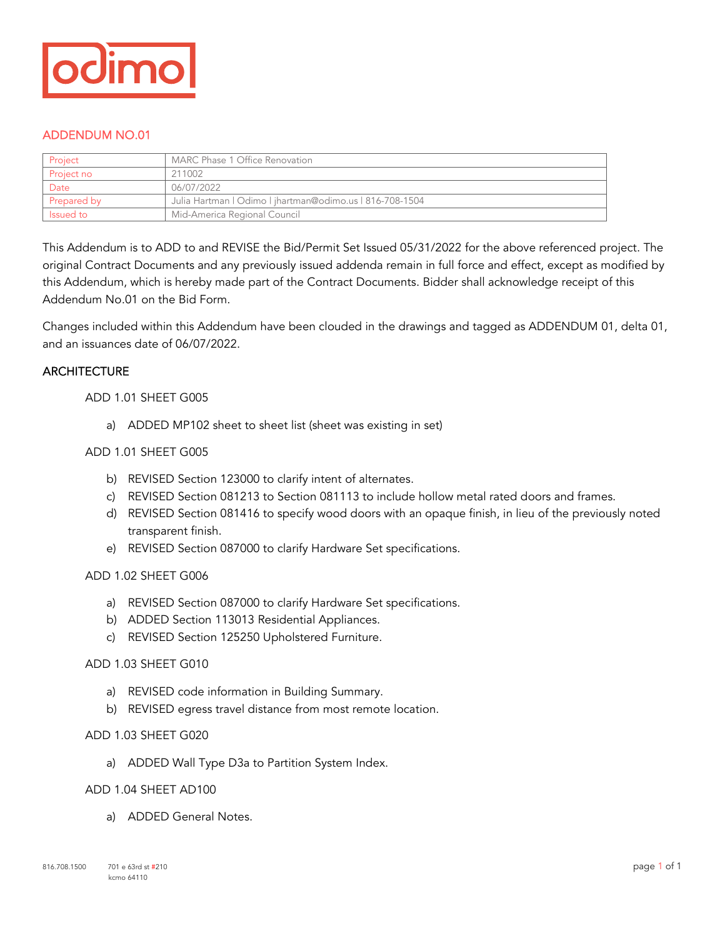

## ADDENDUM NO.01

| Project     | MARC Phase 1 Office Renovation                           |
|-------------|----------------------------------------------------------|
| Project no  | 211002                                                   |
| Date        | 06/07/2022                                               |
| Prepared by | Julia Hartman   Odimo   jhartman@odimo.us   816-708-1504 |
| Issued to   | Mid-America Regional Council                             |

This Addendum is to ADD to and REVISE the Bid/Permit Set Issued 05/31/2022 for the above referenced project. The original Contract Documents and any previously issued addenda remain in full force and effect, except as modified by this Addendum, which is hereby made part of the Contract Documents. Bidder shall acknowledge receipt of this Addendum No.01 on the Bid Form.

Changes included within this Addendum have been clouded in the drawings and tagged as ADDENDUM 01, delta 01, and an issuances date of 06/07/2022.

# **ARCHITECTURE**

## ADD 1.01 SHEET G005

a) ADDED MP102 sheet to sheet list (sheet was existing in set)

## ADD 1.01 SHEET G005

- b) REVISED Section 123000 to clarify intent of alternates.
- c) REVISED Section 081213 to Section 081113 to include hollow metal rated doors and frames.
- d) REVISED Section 081416 to specify wood doors with an opaque finish, in lieu of the previously noted transparent finish.
- e) REVISED Section 087000 to clarify Hardware Set specifications.

#### ADD 1.02 SHEET G006

- a) REVISED Section 087000 to clarify Hardware Set specifications.
- b) ADDED Section 113013 Residential Appliances.
- c) REVISED Section 125250 Upholstered Furniture.

## ADD 1.03 SHEET G010

- a) REVISED code information in Building Summary.
- b) REVISED egress travel distance from most remote location.

## ADD 1.03 SHEET G020

a) ADDED Wall Type D3a to Partition System Index.

## ADD 1.04 SHEET AD100

a) ADDED General Notes.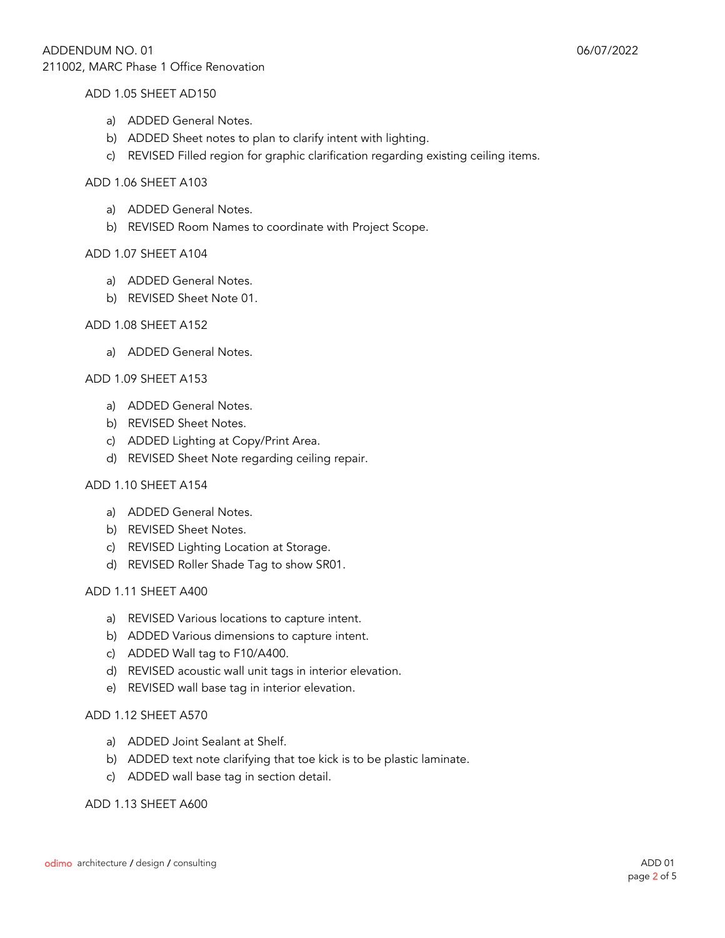#### ADD 1.05 SHEET AD150

- a) ADDED General Notes.
- b) ADDED Sheet notes to plan to clarify intent with lighting.
- c) REVISED Filled region for graphic clarification regarding existing ceiling items.

## ADD 1.06 SHEET A103

- a) ADDED General Notes.
- b) REVISED Room Names to coordinate with Project Scope.

#### ADD 1.07 SHEET A104

- a) ADDED General Notes.
- b) REVISED Sheet Note 01.

#### ADD 1.08 SHEET A152

a) ADDED General Notes.

## ADD 1.09 SHEET A153

- a) ADDED General Notes.
- b) REVISED Sheet Notes.
- c) ADDED Lighting at Copy/Print Area.
- d) REVISED Sheet Note regarding ceiling repair.

#### ADD 1.10 SHEET A154

- a) ADDED General Notes.
- b) REVISED Sheet Notes.
- c) REVISED Lighting Location at Storage.
- d) REVISED Roller Shade Tag to show SR01.

#### ADD 1.11 SHEET A400

- a) REVISED Various locations to capture intent.
- b) ADDED Various dimensions to capture intent.
- c) ADDED Wall tag to F10/A400.
- d) REVISED acoustic wall unit tags in interior elevation.
- e) REVISED wall base tag in interior elevation.

#### ADD 1.12 SHEET A570

- a) ADDED Joint Sealant at Shelf.
- b) ADDED text note clarifying that toe kick is to be plastic laminate.
- c) ADDED wall base tag in section detail.

#### ADD 1.13 SHEET A600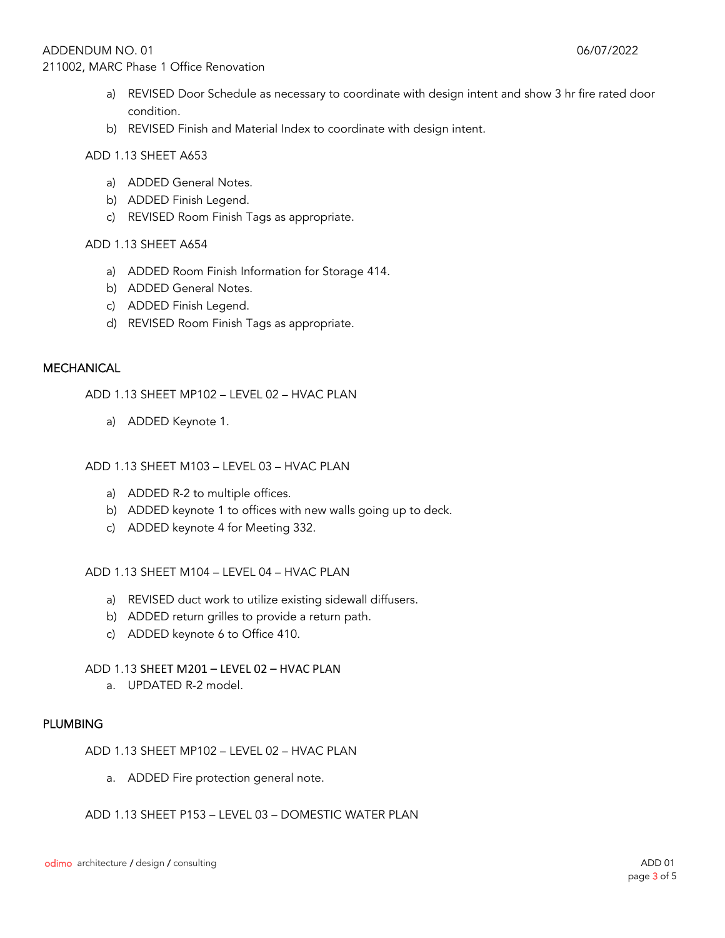211002, MARC Phase 1 Office Renovation

- a) REVISED Door Schedule as necessary to coordinate with design intent and show 3 hr fire rated door condition.
- b) REVISED Finish and Material Index to coordinate with design intent.

## ADD 1.13 SHEET A653

- a) ADDED General Notes.
- b) ADDED Finish Legend.
- c) REVISED Room Finish Tags as appropriate.

## ADD 1.13 SHEET A654

- a) ADDED Room Finish Information for Storage 414.
- b) ADDED General Notes.
- c) ADDED Finish Legend.
- d) REVISED Room Finish Tags as appropriate.

## **MECHANICAL**

ADD 1.13 SHEET MP102 – LEVEL 02 – HVAC PLAN

a) ADDED Keynote 1.

### ADD 1.13 SHEET M103 – LEVEL 03 – HVAC PLAN

- a) ADDED R-2 to multiple offices.
- b) ADDED keynote 1 to offices with new walls going up to deck.
- c) ADDED keynote 4 for Meeting 332.

ADD 1.13 SHEET M104 – LEVEL 04 – HVAC PLAN

- a) REVISED duct work to utilize existing sidewall diffusers.
- b) ADDED return grilles to provide a return path.
- c) ADDED keynote 6 to Office 410.

#### ADD 1.13 SHEET M201 – LEVEL 02 – HVAC PLAN

a. UPDATED R-2 model.

## PLUMBING

ADD 1.13 SHEET MP102 – LEVEL 02 – HVAC PLAN

a. ADDED Fire protection general note.

ADD 1.13 SHEET P153 – LEVEL 03 – DOMESTIC WATER PLAN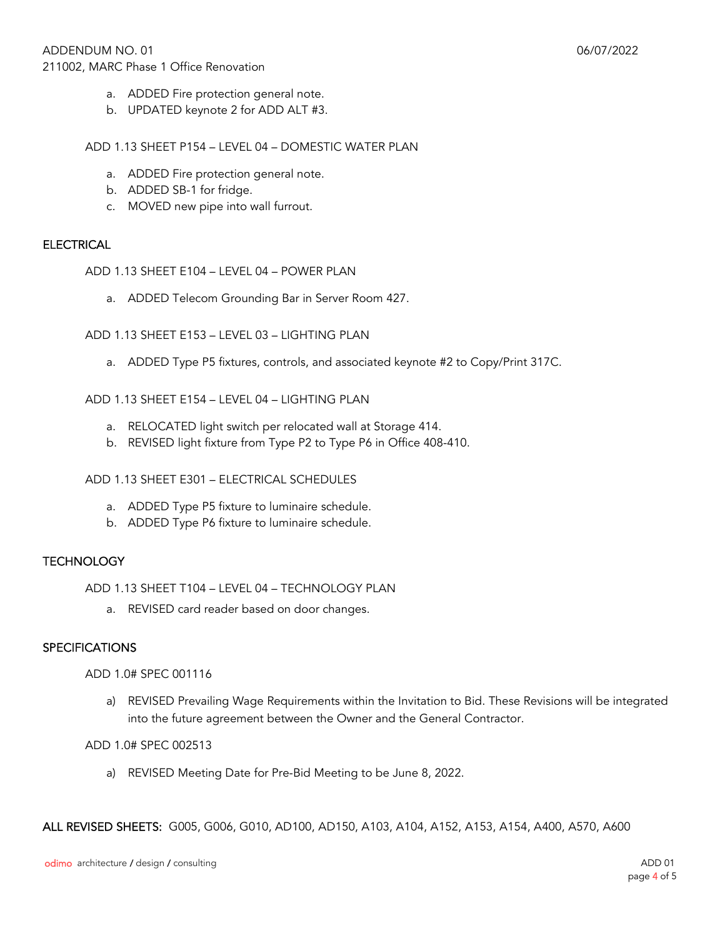- a. ADDED Fire protection general note.
- b. UPDATED keynote 2 for ADD ALT #3.

#### ADD 1.13 SHEET P154 – LEVEL 04 – DOMESTIC WATER PLAN

- a. ADDED Fire protection general note.
- b. ADDED SB-1 for fridge.
- c. MOVED new pipe into wall furrout.

## **ELECTRICAL**

- ADD 1.13 SHEET E104 LEVEL 04 POWER PLAN
	- a. ADDED Telecom Grounding Bar in Server Room 427.
- ADD 1.13 SHEET E153 LEVEL 03 LIGHTING PLAN
	- a. ADDED Type P5 fixtures, controls, and associated keynote #2 to Copy/Print 317C.

ADD 1.13 SHEET E154 – LEVEL 04 – LIGHTING PLAN

- a. RELOCATED light switch per relocated wall at Storage 414.
- b. REVISED light fixture from Type P2 to Type P6 in Office 408-410.

ADD 1.13 SHEET E301 – ELECTRICAL SCHEDULES

- a. ADDED Type P5 fixture to luminaire schedule.
- b. ADDED Type P6 fixture to luminaire schedule.

# **TECHNOLOGY**

ADD 1.13 SHEET T104 – LEVEL 04 – TECHNOLOGY PLAN

a. REVISED card reader based on door changes.

# **SPECIFICATIONS**

ADD 1.0# SPEC 001116

a) REVISED Prevailing Wage Requirements within the Invitation to Bid. These Revisions will be integrated into the future agreement between the Owner and the General Contractor.

#### ADD 1.0# SPEC 002513

a) REVISED Meeting Date for Pre-Bid Meeting to be June 8, 2022.

ALL REVISED SHEETS: G005, G006, G010, AD100, AD150, A103, A104, A152, A153, A154, A400, A570, A600